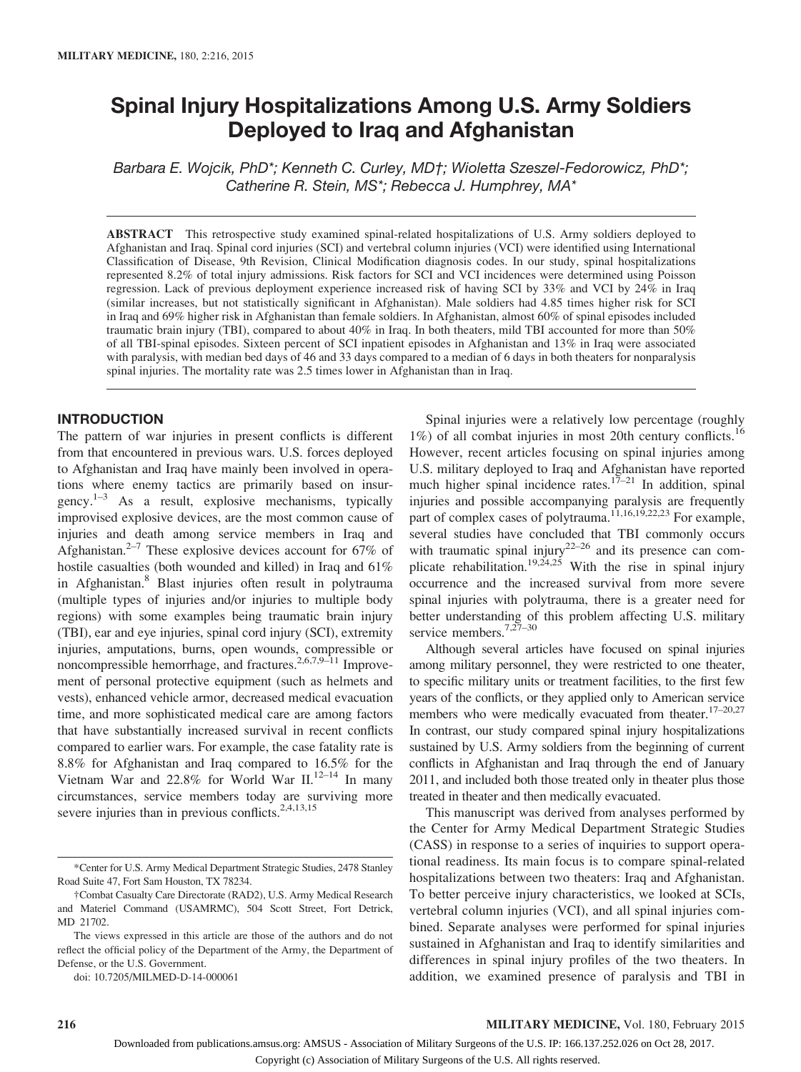# Spinal Injury Hospitalizations Among U.S. Army Soldiers Deployed to Iraq and Afghanistan

Barbara E. Wojcik, PhD\*; Kenneth C. Curley, MD†; Wioletta Szeszel-Fedorowicz, PhD\*; Catherine R. Stein, MS\*; Rebecca J. Humphrey, MA\*

ABSTRACT This retrospective study examined spinal-related hospitalizations of U.S. Army soldiers deployed to Afghanistan and Iraq. Spinal cord injuries (SCI) and vertebral column injuries (VCI) were identified using International Classification of Disease, 9th Revision, Clinical Modification diagnosis codes. In our study, spinal hospitalizations represented 8.2% of total injury admissions. Risk factors for SCI and VCI incidences were determined using Poisson regression. Lack of previous deployment experience increased risk of having SCI by 33% and VCI by 24% in Iraq (similar increases, but not statistically significant in Afghanistan). Male soldiers had 4.85 times higher risk for SCI in Iraq and 69% higher risk in Afghanistan than female soldiers. In Afghanistan, almost 60% of spinal episodes included traumatic brain injury (TBI), compared to about 40% in Iraq. In both theaters, mild TBI accounted for more than 50% of all TBI-spinal episodes. Sixteen percent of SCI inpatient episodes in Afghanistan and 13% in Iraq were associated with paralysis, with median bed days of 46 and 33 days compared to a median of 6 days in both theaters for nonparalysis spinal injuries. The mortality rate was 2.5 times lower in Afghanistan than in Iraq.

# INTRODUCTION

The pattern of war injuries in present conflicts is different from that encountered in previous wars. U.S. forces deployed to Afghanistan and Iraq have mainly been involved in operations where enemy tactics are primarily based on insurgency. $1-3$  As a result, explosive mechanisms, typically improvised explosive devices, are the most common cause of injuries and death among service members in Iraq and Afghanistan.<sup>2–7</sup> These explosive devices account for 67% of hostile casualties (both wounded and killed) in Iraq and 61% in Afghanistan.8 Blast injuries often result in polytrauma (multiple types of injuries and/or injuries to multiple body regions) with some examples being traumatic brain injury (TBI), ear and eye injuries, spinal cord injury (SCI), extremity injuries, amputations, burns, open wounds, compressible or noncompressible hemorrhage, and fractures.<sup>2,6,7,9–11</sup> Improvement of personal protective equipment (such as helmets and vests), enhanced vehicle armor, decreased medical evacuation time, and more sophisticated medical care are among factors that have substantially increased survival in recent conflicts compared to earlier wars. For example, the case fatality rate is 8.8% for Afghanistan and Iraq compared to 16.5% for the Vietnam War and 22.8% for World War II.12–14 In many circumstances, service members today are surviving more severe injuries than in previous conflicts.  $2,4,13,15$ 

doi: 10.7205/MILMED-D-14-000061

Spinal injuries were a relatively low percentage (roughly  $1\%$ ) of all combat injuries in most 20th century conflicts.<sup>16</sup> However, recent articles focusing on spinal injuries among U.S. military deployed to Iraq and Afghanistan have reported much higher spinal incidence rates.<sup>17–21</sup> In addition, spinal injuries and possible accompanying paralysis are frequently part of complex cases of polytrauma.<sup>11,16,19</sup>,22,23 For example, several studies have concluded that TBI commonly occurs with traumatic spinal injury<sup>22–26</sup> and its presence can complicate rehabilitation.<sup>19,24,25</sup> With the rise in spinal injury occurrence and the increased survival from more severe spinal injuries with polytrauma, there is a greater need for better understanding of this problem affecting U.S. military service members.<sup>7,27–30</sup>

Although several articles have focused on spinal injuries among military personnel, they were restricted to one theater, to specific military units or treatment facilities, to the first few years of the conflicts, or they applied only to American service members who were medically evacuated from theater.<sup>17–20,27</sup> In contrast, our study compared spinal injury hospitalizations sustained by U.S. Army soldiers from the beginning of current conflicts in Afghanistan and Iraq through the end of January 2011, and included both those treated only in theater plus those treated in theater and then medically evacuated.

This manuscript was derived from analyses performed by the Center for Army Medical Department Strategic Studies (CASS) in response to a series of inquiries to support operational readiness. Its main focus is to compare spinal-related hospitalizations between two theaters: Iraq and Afghanistan. To better perceive injury characteristics, we looked at SCIs, vertebral column injuries (VCI), and all spinal injuries combined. Separate analyses were performed for spinal injuries sustained in Afghanistan and Iraq to identify similarities and differences in spinal injury profiles of the two theaters. In addition, we examined presence of paralysis and TBI in

#### 216 MILITARY MEDICINE, Vol. 180, February 2015

Downloaded from publications.amsus.org: AMSUS - Association of Military Surgeons of the U.S. IP: 166.137.252.026 on Oct 28, 2017.

<sup>\*</sup>Center for U.S. Army Medical Department Strategic Studies, 2478 Stanley Road Suite 47, Fort Sam Houston, TX 78234.

<sup>†</sup>Combat Casualty Care Directorate (RAD2), U.S. Army Medical Research and Materiel Command (USAMRMC), 504 Scott Street, Fort Detrick, MD 21702.

The views expressed in this article are those of the authors and do not reflect the official policy of the Department of the Army, the Department of Defense, or the U.S. Government.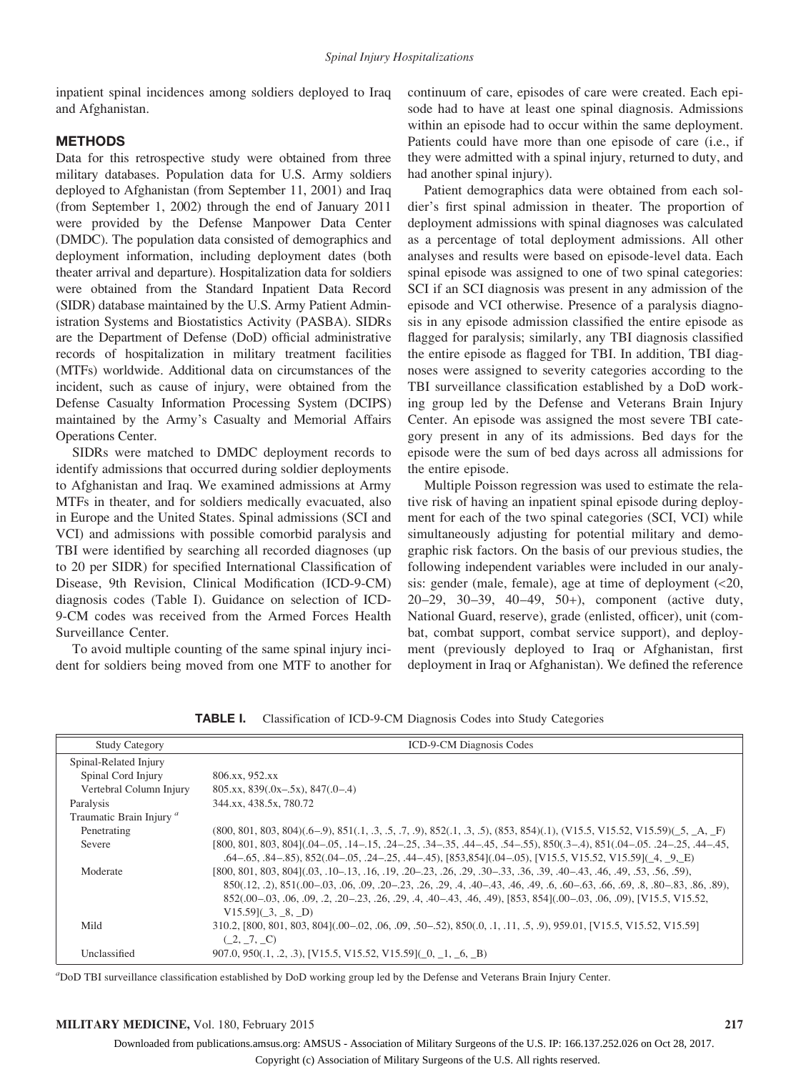inpatient spinal incidences among soldiers deployed to Iraq and Afghanistan.

# **METHODS**

Data for this retrospective study were obtained from three military databases. Population data for U.S. Army soldiers deployed to Afghanistan (from September 11, 2001) and Iraq (from September 1, 2002) through the end of January 2011 were provided by the Defense Manpower Data Center (DMDC). The population data consisted of demographics and deployment information, including deployment dates (both theater arrival and departure). Hospitalization data for soldiers were obtained from the Standard Inpatient Data Record (SIDR) database maintained by the U.S. Army Patient Administration Systems and Biostatistics Activity (PASBA). SIDRs are the Department of Defense (DoD) official administrative records of hospitalization in military treatment facilities (MTFs) worldwide. Additional data on circumstances of the incident, such as cause of injury, were obtained from the Defense Casualty Information Processing System (DCIPS) maintained by the Army's Casualty and Memorial Affairs Operations Center.

SIDRs were matched to DMDC deployment records to identify admissions that occurred during soldier deployments to Afghanistan and Iraq. We examined admissions at Army MTFs in theater, and for soldiers medically evacuated, also in Europe and the United States. Spinal admissions (SCI and VCI) and admissions with possible comorbid paralysis and TBI were identified by searching all recorded diagnoses (up to 20 per SIDR) for specified International Classification of Disease, 9th Revision, Clinical Modification (ICD-9-CM) diagnosis codes (Table I). Guidance on selection of ICD-9-CM codes was received from the Armed Forces Health Surveillance Center.

To avoid multiple counting of the same spinal injury incident for soldiers being moved from one MTF to another for continuum of care, episodes of care were created. Each episode had to have at least one spinal diagnosis. Admissions within an episode had to occur within the same deployment. Patients could have more than one episode of care (i.e., if they were admitted with a spinal injury, returned to duty, and had another spinal injury).

Patient demographics data were obtained from each soldier's first spinal admission in theater. The proportion of deployment admissions with spinal diagnoses was calculated as a percentage of total deployment admissions. All other analyses and results were based on episode-level data. Each spinal episode was assigned to one of two spinal categories: SCI if an SCI diagnosis was present in any admission of the episode and VCI otherwise. Presence of a paralysis diagnosis in any episode admission classified the entire episode as flagged for paralysis; similarly, any TBI diagnosis classified the entire episode as flagged for TBI. In addition, TBI diagnoses were assigned to severity categories according to the TBI surveillance classification established by a DoD working group led by the Defense and Veterans Brain Injury Center. An episode was assigned the most severe TBI category present in any of its admissions. Bed days for the episode were the sum of bed days across all admissions for the entire episode.

Multiple Poisson regression was used to estimate the relative risk of having an inpatient spinal episode during deployment for each of the two spinal categories (SCI, VCI) while simultaneously adjusting for potential military and demographic risk factors. On the basis of our previous studies, the following independent variables were included in our analysis: gender (male, female), age at time of deployment (<20, 20–29, 30–39, 40–49, 50+), component (active duty, National Guard, reserve), grade (enlisted, officer), unit (combat, combat support, combat service support), and deployment (previously deployed to Iraq or Afghanistan, first deployment in Iraq or Afghanistan). We defined the reference

TABLE I. Classification of ICD-9-CM Diagnosis Codes into Study Categories

| <b>Study Category</b>               | ICD-9-CM Diagnosis Codes                                                                                                                   |
|-------------------------------------|--------------------------------------------------------------------------------------------------------------------------------------------|
| Spinal-Related Injury               |                                                                                                                                            |
| Spinal Cord Injury                  | 806.xx, 952.xx                                                                                                                             |
| Vertebral Column Injury             | $805$ , xx, $839(.0x-.5x)$ , $847(.0-.4)$                                                                                                  |
| Paralysis                           | 344.xx, 438.5x, 780.72                                                                                                                     |
| Traumatic Brain Injury <sup>a</sup> |                                                                                                                                            |
| Penetrating                         | $(800, 801, 803, 804)$ $(6-9)$ , $851$ $(1, 3, 5, 7, 9)$ , $852$ $(1, 3, 5)$ , $(853, 854)$ $(1)$ , $(V15.5, V15.52, V15.59)$ $(5, A, F)$  |
| Severe                              | [800, 801, 803, 804](.04 - .05, .14 - .15, .24 - .25, .34 - .35, .44 - .45, .54 - .55), 850(.3 - .4), 851(.04 - .05, .24 - .25, .44 - .45, |
|                                     | $.64-65, .84-85, .852(.04-05, .24-25, .44-45), .853.854[(.04-05), .815.5, .815.59]$ (4, 9, E)                                              |
| Moderate                            | [800, 801, 803, 804](.03, .10–.13, .16, .19, .20–.23, .26, .29, .30–.33, .36, .39, .40–.43, .46, .49, .53, .56, .59),                      |
|                                     | $850(.12, .2), 851(.00-.03, .06, .09, .20-.23, .26, .29, .4, .40-.43, .46, .49, .6, .60-.63, .66, .69, .8, .80-.83, .86, .89)$             |
|                                     | 852(.00–.03, .06, .09, .2, .20–.23, .26, .29, .4, .40–.43, .46, .49), [853, 854](.00–.03, .06, .09), [V15.5, V15.52,                       |
|                                     | $V15.59$ ](3, 8, D)                                                                                                                        |
| Mild                                | 310.2, [800, 801, 803, 804](.00–.02, .06, .09, .50–.52), 850(.0, .1, .11, .5, .9), 959.01, [V15.5, V15.52, V15.59]                         |
|                                     | (2, 7, C)                                                                                                                                  |
| Unclassified                        | $907.0, 950(.1, .2, .3),$ [V15.5, V15.52, V15.59](0, 1, 6, B)                                                                              |

a DoD TBI surveillance classification established by DoD working group led by the Defense and Veterans Brain Injury Center.

### MILITARY MEDICINE, Vol. 180, February 2015 217

Downloaded from publications.amsus.org: AMSUS - Association of Military Surgeons of the U.S. IP: 166.137.252.026 on Oct 28, 2017. Copyright (c) Association of Military Surgeons of the U.S. All rights reserved.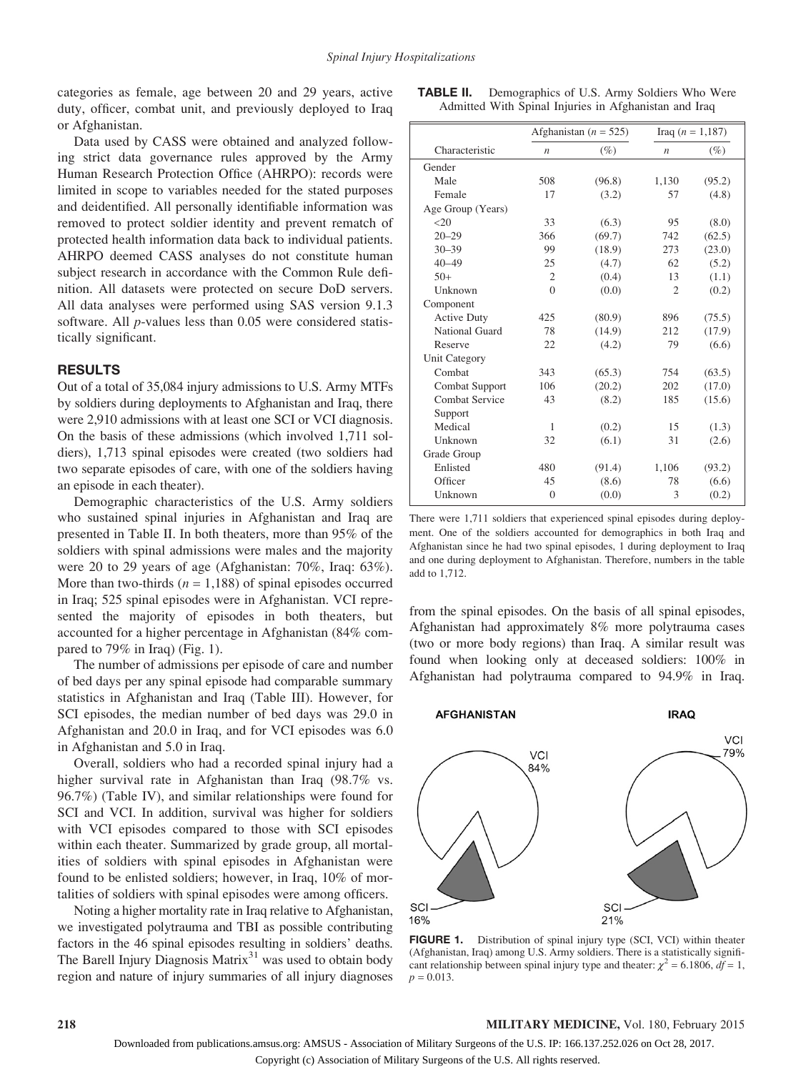categories as female, age between 20 and 29 years, active duty, officer, combat unit, and previously deployed to Iraq or Afghanistan.

Data used by CASS were obtained and analyzed following strict data governance rules approved by the Army Human Research Protection Office (AHRPO): records were limited in scope to variables needed for the stated purposes and deidentified. All personally identifiable information was removed to protect soldier identity and prevent rematch of protected health information data back to individual patients. AHRPO deemed CASS analyses do not constitute human subject research in accordance with the Common Rule definition. All datasets were protected on secure DoD servers. All data analyses were performed using SAS version 9.1.3 software. All *p*-values less than 0.05 were considered statistically significant.

## RESULTS

Out of a total of 35,084 injury admissions to U.S. Army MTFs by soldiers during deployments to Afghanistan and Iraq, there were 2,910 admissions with at least one SCI or VCI diagnosis. On the basis of these admissions (which involved 1,711 soldiers), 1,713 spinal episodes were created (two soldiers had two separate episodes of care, with one of the soldiers having an episode in each theater).

Demographic characteristics of the U.S. Army soldiers who sustained spinal injuries in Afghanistan and Iraq are presented in Table II. In both theaters, more than 95% of the soldiers with spinal admissions were males and the majority were 20 to 29 years of age (Afghanistan: 70%, Iraq: 63%). More than two-thirds ( $n = 1,188$ ) of spinal episodes occurred in Iraq; 525 spinal episodes were in Afghanistan. VCI represented the majority of episodes in both theaters, but accounted for a higher percentage in Afghanistan (84% compared to 79% in Iraq) (Fig. 1).

The number of admissions per episode of care and number of bed days per any spinal episode had comparable summary statistics in Afghanistan and Iraq (Table III). However, for SCI episodes, the median number of bed days was 29.0 in Afghanistan and 20.0 in Iraq, and for VCI episodes was 6.0 in Afghanistan and 5.0 in Iraq.

Overall, soldiers who had a recorded spinal injury had a higher survival rate in Afghanistan than Iraq (98.7% vs. 96.7%) (Table IV), and similar relationships were found for SCI and VCI. In addition, survival was higher for soldiers with VCI episodes compared to those with SCI episodes within each theater. Summarized by grade group, all mortalities of soldiers with spinal episodes in Afghanistan were found to be enlisted soldiers; however, in Iraq, 10% of mortalities of soldiers with spinal episodes were among officers.

Noting a higher mortality rate in Iraq relative to Afghanistan, we investigated polytrauma and TBI as possible contributing factors in the 46 spinal episodes resulting in soldiers' deaths. The Barell Injury Diagnosis Matrix $31$  was used to obtain body region and nature of injury summaries of all injury diagnoses

| TABLE II. | Demographics of U.S. Army Soldiers Who Were           |
|-----------|-------------------------------------------------------|
|           | Admitted With Spinal Injuries in Afghanistan and Iraq |

|                       |                  | Afghanistan ( $n = 525$ ) | Iraq $(n = 1, 187)$ |        |  |
|-----------------------|------------------|---------------------------|---------------------|--------|--|
| Characteristic        | $\boldsymbol{n}$ | $(\%)$                    | $\boldsymbol{n}$    | $(\%)$ |  |
| Gender                |                  |                           |                     |        |  |
| Male                  | 508              | (96.8)                    | 1,130               | (95.2) |  |
| Female                | 17               | (3.2)                     | 57                  | (4.8)  |  |
| Age Group (Years)     |                  |                           |                     |        |  |
| <20                   | 33               | (6.3)                     | 95                  | (8.0)  |  |
| $20 - 29$             | 366              | (69.7)                    | 742                 | (62.5) |  |
| $30 - 39$             | 99               | (18.9)                    | 273                 | (23.0) |  |
| $40 - 49$             | 25               | (4.7)                     | 62                  | (5.2)  |  |
| $50+$                 | $\overline{2}$   | (0.4)                     | 13                  | (1.1)  |  |
| Unknown               | $\theta$         | (0.0)                     | $\overline{c}$      | (0.2)  |  |
| Component             |                  |                           |                     |        |  |
| <b>Active Duty</b>    | 425              | (80.9)                    | 896                 | (75.5) |  |
| National Guard        | 78               | (14.9)                    | 212                 | (17.9) |  |
| Reserve               | 22               | (4.2)                     | 79                  | (6.6)  |  |
| Unit Category         |                  |                           |                     |        |  |
| Combat                | 343              | (65.3)                    | 754                 | (63.5) |  |
| Combat Support        | 106              | (20.2)                    | 202                 | (17.0) |  |
| <b>Combat Service</b> | 43               | (8.2)                     | 185                 | (15.6) |  |
| Support               |                  |                           |                     |        |  |
| Medical               | 1                | (0.2)                     | 15                  | (1.3)  |  |
| Unknown               | 32               | (6.1)                     | 31                  | (2.6)  |  |
| Grade Group           |                  |                           |                     |        |  |
| Enlisted              | 480              | (91.4)                    | 1,106               | (93.2) |  |
| Officer               | 45               | (8.6)                     | 78                  | (6.6)  |  |
| Unknown               | $\theta$         | (0.0)                     | 3                   | (0.2)  |  |

There were 1,711 soldiers that experienced spinal episodes during deployment. One of the soldiers accounted for demographics in both Iraq and Afghanistan since he had two spinal episodes, 1 during deployment to Iraq and one during deployment to Afghanistan. Therefore, numbers in the table add to 1,712.

from the spinal episodes. On the basis of all spinal episodes, Afghanistan had approximately 8% more polytrauma cases (two or more body regions) than Iraq. A similar result was found when looking only at deceased soldiers: 100% in Afghanistan had polytrauma compared to 94.9% in Iraq.



FIGURE 1. Distribution of spinal injury type (SCI, VCI) within theater (Afghanistan, Iraq) among U.S. Army soldiers. There is a statistically significant relationship between spinal injury type and theater:  $\chi^2$  = 6.1806,  $df = 1$ ,  $p = 0.013$ .

## 218 MILITARY MEDICINE, Vol. 180, February 2015

Downloaded from publications.amsus.org: AMSUS - Association of Military Surgeons of the U.S. IP: 166.137.252.026 on Oct 28, 2017.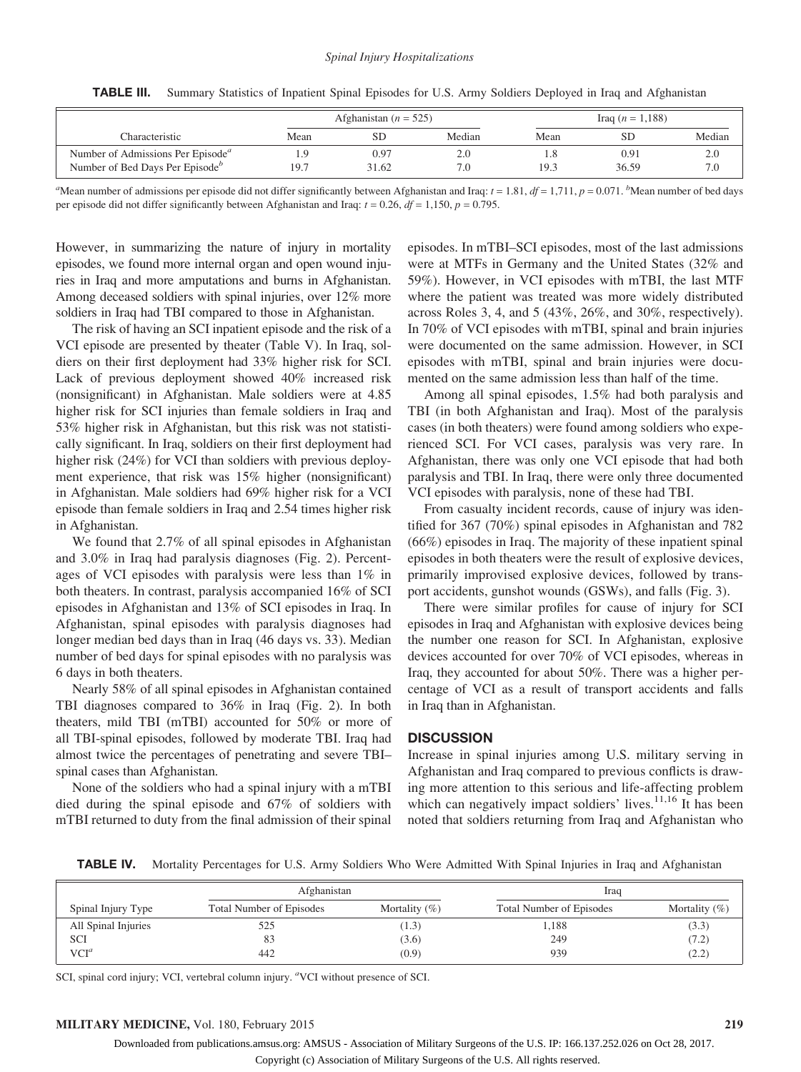TABLE III. Summary Statistics of Inpatient Spinal Episodes for U.S. Army Soldiers Deployed in Iraq and Afghanistan

|                                                                                                     |      | Afghanistan ( $n = 525$ ) |            | Iraq $(n = 1, 188)$ |               |        |  |
|-----------------------------------------------------------------------------------------------------|------|---------------------------|------------|---------------------|---------------|--------|--|
| Characteristic                                                                                      | Mean | SD                        | Median     | Mean                | SD            | Median |  |
| Number of Admissions Per Episode <sup>a</sup><br>Number of Bed Days Per Episode <sup><i>n</i></sup> | 19.7 | 0.97<br>31.62             | 2.0<br>7.0 | 1.8<br>19.3         | 0.91<br>36.59 | 2.0    |  |

"Mean number of admissions per episode did not differ significantly between Afghanistan and Iraq:  $t = 1.81$ ,  $df = 1.711$ ,  $p = 0.071$ . "Mean number of bed days per episode did not differ significantly between Afghanistan and Iraq:  $t = 0.26$ ,  $df = 1,150$ ,  $p = 0.795$ .

However, in summarizing the nature of injury in mortality episodes, we found more internal organ and open wound injuries in Iraq and more amputations and burns in Afghanistan. Among deceased soldiers with spinal injuries, over 12% more soldiers in Iraq had TBI compared to those in Afghanistan.

The risk of having an SCI inpatient episode and the risk of a VCI episode are presented by theater (Table V). In Iraq, soldiers on their first deployment had 33% higher risk for SCI. Lack of previous deployment showed 40% increased risk (nonsignificant) in Afghanistan. Male soldiers were at 4.85 higher risk for SCI injuries than female soldiers in Iraq and 53% higher risk in Afghanistan, but this risk was not statistically significant. In Iraq, soldiers on their first deployment had higher risk (24%) for VCI than soldiers with previous deployment experience, that risk was 15% higher (nonsignificant) in Afghanistan. Male soldiers had 69% higher risk for a VCI episode than female soldiers in Iraq and 2.54 times higher risk in Afghanistan.

We found that 2.7% of all spinal episodes in Afghanistan and 3.0% in Iraq had paralysis diagnoses (Fig. 2). Percentages of VCI episodes with paralysis were less than 1% in both theaters. In contrast, paralysis accompanied 16% of SCI episodes in Afghanistan and 13% of SCI episodes in Iraq. In Afghanistan, spinal episodes with paralysis diagnoses had longer median bed days than in Iraq (46 days vs. 33). Median number of bed days for spinal episodes with no paralysis was 6 days in both theaters.

Nearly 58% of all spinal episodes in Afghanistan contained TBI diagnoses compared to 36% in Iraq (Fig. 2). In both theaters, mild TBI (mTBI) accounted for 50% or more of all TBI-spinal episodes, followed by moderate TBI. Iraq had almost twice the percentages of penetrating and severe TBI– spinal cases than Afghanistan.

None of the soldiers who had a spinal injury with a mTBI died during the spinal episode and 67% of soldiers with mTBI returned to duty from the final admission of their spinal episodes. In mTBI–SCI episodes, most of the last admissions were at MTFs in Germany and the United States (32% and 59%). However, in VCI episodes with mTBI, the last MTF where the patient was treated was more widely distributed across Roles 3, 4, and 5 (43%, 26%, and 30%, respectively). In 70% of VCI episodes with mTBI, spinal and brain injuries were documented on the same admission. However, in SCI episodes with mTBI, spinal and brain injuries were documented on the same admission less than half of the time.

Among all spinal episodes, 1.5% had both paralysis and TBI (in both Afghanistan and Iraq). Most of the paralysis cases (in both theaters) were found among soldiers who experienced SCI. For VCI cases, paralysis was very rare. In Afghanistan, there was only one VCI episode that had both paralysis and TBI. In Iraq, there were only three documented VCI episodes with paralysis, none of these had TBI.

From casualty incident records, cause of injury was identified for 367 (70%) spinal episodes in Afghanistan and 782 (66%) episodes in Iraq. The majority of these inpatient spinal episodes in both theaters were the result of explosive devices, primarily improvised explosive devices, followed by transport accidents, gunshot wounds (GSWs), and falls (Fig. 3).

There were similar profiles for cause of injury for SCI episodes in Iraq and Afghanistan with explosive devices being the number one reason for SCI. In Afghanistan, explosive devices accounted for over 70% of VCI episodes, whereas in Iraq, they accounted for about 50%. There was a higher percentage of VCI as a result of transport accidents and falls in Iraq than in Afghanistan.

## **DISCUSSION**

Increase in spinal injuries among U.S. military serving in Afghanistan and Iraq compared to previous conflicts is drawing more attention to this serious and life-affecting problem which can negatively impact soldiers' lives.<sup>11,16</sup> It has been noted that soldiers returning from Iraq and Afghanistan who

TABLE IV. Mortality Percentages for U.S. Army Soldiers Who Were Admitted With Spinal Injuries in Iraq and Afghanistan

|                     | Afghanistan                     |                   | Iraq                            |                   |  |  |
|---------------------|---------------------------------|-------------------|---------------------------------|-------------------|--|--|
| Spinal Injury Type  | <b>Total Number of Episodes</b> | Mortality $(\% )$ | <b>Total Number of Episodes</b> | Mortality $(\% )$ |  |  |
| All Spinal Injuries | 525                             | (1.3)             | 1,188                           | (3.3)             |  |  |
| SCI                 | 83                              | (3.6)             | 249                             | (7.2)             |  |  |
| VCI <sup>a</sup>    | 442                             | (0.9)             | 939                             | (2.2)             |  |  |

SCI, spinal cord injury; VCI, vertebral column injury. "VCI without presence of SCI.

Downloaded from publications.amsus.org: AMSUS - Association of Military Surgeons of the U.S. IP: 166.137.252.026 on Oct 28, 2017. Copyright (c) Association of Military Surgeons of the U.S. All rights reserved.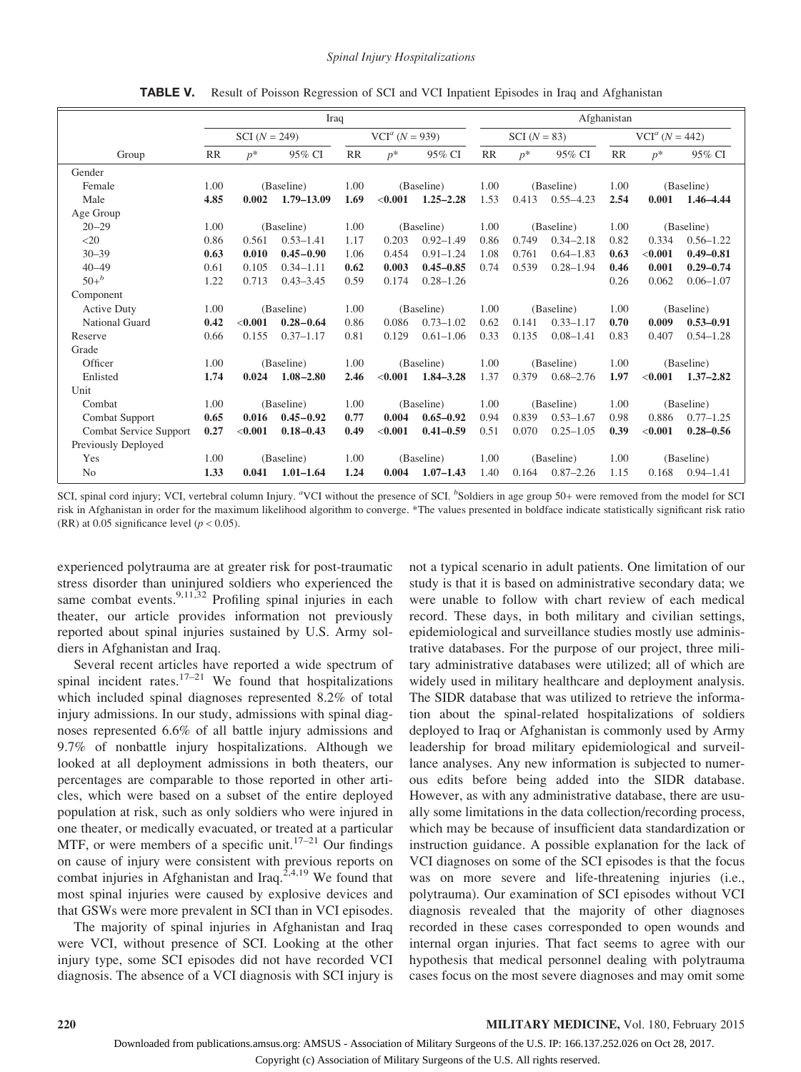|                               | Iraq            |            |               |                  |            | Afghanistan   |                |            |               |                  |            |               |
|-------------------------------|-----------------|------------|---------------|------------------|------------|---------------|----------------|------------|---------------|------------------|------------|---------------|
|                               | SCI $(N = 249)$ |            |               | $VCIa (N = 939)$ |            |               | SCI $(N = 83)$ |            |               | $VCIa (N = 442)$ |            |               |
| Group                         | <b>RR</b>       | $p^*$      | 95% CI        | RR               | $p^*$      | 95% CI        | RR             | $p^*$      | 95% CI        | RR               | $p^*$      | 95% CI        |
| Gender                        |                 |            |               |                  |            |               |                |            |               |                  |            |               |
| Female                        | 1.00            | (Baseline) |               | 1.00             | (Baseline) |               | 1.00           | (Baseline) |               | 1.00             | (Baseline) |               |
| Male                          | 4.85            | 0.002      | 1.79-13.09    | 1.69             | < 0.001    | $1.25 - 2.28$ | 1.53           | 0.413      | $0.55 - 4.23$ | 2.54             | 0.001      | 1.46-4.44     |
| Age Group                     |                 |            |               |                  |            |               |                |            |               |                  |            |               |
| $20 - 29$                     | 1.00            | (Baseline) |               | 1.00             | (Baseline) |               | 1.00           | (Baseline) |               | 1.00             | (Baseline) |               |
| $<$ 20                        | 0.86            | 0.561      | $0.53 - 1.41$ | 1.17             | 0.203      | $0.92 - 1.49$ | 0.86           | 0.749      | $0.34 - 2.18$ | 0.82             | 0.334      | $0.56 - 1.22$ |
| $30 - 39$                     | 0.63            | 0.010      | $0.45 - 0.90$ | 1.06             | 0.454      | $0.91 - 1.24$ | 1.08           | 0.761      | $0.64 - 1.83$ | 0.63             | < 0.001    | $0.49 - 0.81$ |
| $40 - 49$                     | 0.61            | 0.105      | $0.34 - 1.11$ | 0.62             | 0.003      | $0.45 - 0.85$ | 0.74           | 0.539      | $0.28 - 1.94$ | 0.46             | 0.001      | $0.29 - 0.74$ |
| $50 + b$                      | 1.22            | 0.713      | $0.43 - 3.45$ | 0.59             | 0.174      | $0.28 - 1.26$ |                |            |               | 0.26             | 0.062      | $0.06 - 1.07$ |
| Component                     |                 |            |               |                  |            |               |                |            |               |                  |            |               |
| <b>Active Duty</b>            | 1.00            |            | (Baseline)    | 1.00             | (Baseline) |               | 1.00           | (Baseline) |               | 1.00             | (Baseline) |               |
| National Guard                | 0.42            | < 0.001    | $0.28 - 0.64$ | 0.86             | 0.086      | $0.73 - 1.02$ | 0.62           | 0.141      | $0.33 - 1.17$ | 0.70             | 0.009      | $0.53 - 0.91$ |
| Reserve                       | 0.66            | 0.155      | $0.37 - 1.17$ | 0.81             | 0.129      | $0.61 - 1.06$ | 0.33           | 0.135      | $0.08 - 1.41$ | 0.83             | 0.407      | $0.54 - 1.28$ |
| Grade                         |                 |            |               |                  |            |               |                |            |               |                  |            |               |
| Officer                       | 1.00            |            | (Baseline)    | 1.00             | (Baseline) |               | 1.00           | (Baseline) |               | 1.00             | (Baseline) |               |
| Enlisted                      | 1.74            | 0.024      | $1.08 - 2.80$ | 2.46             | < 0.001    | $1.84 - 3.28$ | 1.37           | 0.379      | $0.68 - 2.76$ | 1.97             | < 0.001    | $1.37 - 2.82$ |
| Unit                          |                 |            |               |                  |            |               |                |            |               |                  |            |               |
| Combat                        | 1.00            | (Baseline) |               | 1.00             | (Baseline) |               | 1.00           | (Baseline) |               | 1.00             | (Baseline) |               |
| <b>Combat Support</b>         | 0.65            | 0.016      | $0.45 - 0.92$ | 0.77             | 0.004      | $0.65 - 0.92$ | 0.94           | 0.839      | $0.53 - 1.67$ | 0.98             | 0.886      | $0.77 - 1.25$ |
| <b>Combat Service Support</b> | 0.27            | < 0.001    | $0.18 - 0.43$ | 0.49             | < 0.001    | $0.41 - 0.59$ | 0.51           | 0.070      | $0.25 - 1.05$ | 0.39             | < 0.001    | $0.28 - 0.56$ |
| Previously Deployed           |                 |            |               |                  |            |               |                |            |               |                  |            |               |
| Yes                           | 1.00            |            | (Baseline)    | 1.00             | (Baseline) |               | 1.00           | (Baseline) |               | 1.00             | (Baseline) |               |
| N <sub>0</sub>                | 1.33            | 0.041      | $1.01 - 1.64$ | 1.24             | 0.004      | $1.07 - 1.43$ | 1.40           | 0.164      | $0.87 - 2.26$ | 1.15             | 0.168      | $0.94 - 1.41$ |

**TABLE V.** Result of Poisson Regression of SCI and VCI Inpatient Episodes in Iraq and Afghanistan

SCI, spinal cord injury; VCI, vertebral column Injury. "VCI without the presence of SCI. <sup>b</sup>Soldiers in age group 50+ were removed from the model for SCI risk in Afghanistan in order for the maximum likelihood algorithm to converge. \*The values presented in boldface indicate statistically significant risk ratio (RR) at 0.05 significance level ( $p < 0.05$ ).

experienced polytrauma are at greater risk for post-traumatic stress disorder than uninjured soldiers who experienced the same combat events.<sup>9,11,32</sup> Profiling spinal injuries in each theater, our article provides information not previously reported about spinal injuries sustained by U.S. Army soldiers in Afghanistan and Iraq.

Several recent articles have reported a wide spectrum of spinal incident rates. $17-21$  We found that hospitalizations which included spinal diagnoses represented 8.2% of total injury admissions. In our study, admissions with spinal diagnoses represented 6.6% of all battle injury admissions and 9.7% of nonbattle injury hospitalizations. Although we looked at all deployment admissions in both theaters, our percentages are comparable to those reported in other articles, which were based on a subset of the entire deployed population at risk, such as only soldiers who were injured in one theater, or medically evacuated, or treated at a particular MTF, or were members of a specific unit.<sup>17–21</sup> Our findings on cause of injury were consistent with previous reports on combat injuries in Afghanistan and Iraq.<sup>2,4,19</sup> We found that most spinal injuries were caused by explosive devices and that GSWs were more prevalent in SCI than in VCI episodes.

The majority of spinal injuries in Afghanistan and Iraq were VCI, without presence of SCI. Looking at the other injury type, some SCI episodes did not have recorded VCI diagnosis. The absence of a VCI diagnosis with SCI injury is not a typical scenario in adult patients. One limitation of our study is that it is based on administrative secondary data; we were unable to follow with chart review of each medical record. These days, in both military and civilian settings, epidemiological and surveillance studies mostly use administrative databases. For the purpose of our project, three military administrative databases were utilized; all of which are widely used in military healthcare and deployment analysis. The SIDR database that was utilized to retrieve the information about the spinal-related hospitalizations of soldiers deployed to Iraq or Afghanistan is commonly used by Army leadership for broad military epidemiological and surveillance analyses. Any new information is subjected to numerous edits before being added into the SIDR database. However, as with any administrative database, there are usually some limitations in the data collection/recording process, which may be because of insufficient data standardization or instruction guidance. A possible explanation for the lack of VCI diagnoses on some of the SCI episodes is that the focus was on more severe and life-threatening injuries (i.e., polytrauma). Our examination of SCI episodes without VCI diagnosis revealed that the majority of other diagnoses recorded in these cases corresponded to open wounds and internal organ injuries. That fact seems to agree with our hypothesis that medical personnel dealing with polytrauma cases focus on the most severe diagnoses and may omit some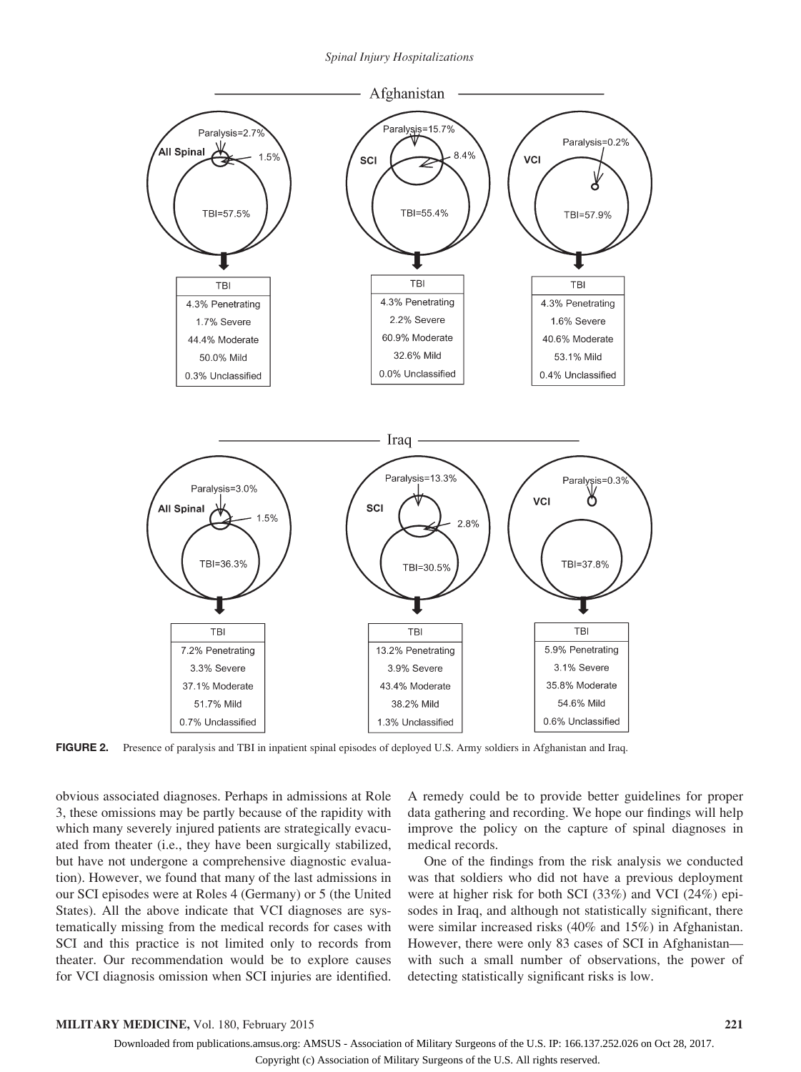Spinal Injury Hospitalizations



FIGURE 2. Presence of paralysis and TBI in inpatient spinal episodes of deployed U.S. Army soldiers in Afghanistan and Iraq.

obvious associated diagnoses. Perhaps in admissions at Role 3, these omissions may be partly because of the rapidity with which many severely injured patients are strategically evacuated from theater (i.e., they have been surgically stabilized, but have not undergone a comprehensive diagnostic evaluation). However, we found that many of the last admissions in our SCI episodes were at Roles 4 (Germany) or 5 (the United States). All the above indicate that VCI diagnoses are systematically missing from the medical records for cases with SCI and this practice is not limited only to records from theater. Our recommendation would be to explore causes for VCI diagnosis omission when SCI injuries are identified. A remedy could be to provide better guidelines for proper data gathering and recording. We hope our findings will help improve the policy on the capture of spinal diagnoses in medical records.

One of the findings from the risk analysis we conducted was that soldiers who did not have a previous deployment were at higher risk for both SCI (33%) and VCI (24%) episodes in Iraq, and although not statistically significant, there were similar increased risks (40% and 15%) in Afghanistan. However, there were only 83 cases of SCI in Afghanistan with such a small number of observations, the power of detecting statistically significant risks is low.

#### MILITARY MEDICINE, Vol. 180, February 2015 221

Downloaded from publications.amsus.org: AMSUS - Association of Military Surgeons of the U.S. IP: 166.137.252.026 on Oct 28, 2017. Copyright (c) Association of Military Surgeons of the U.S. All rights reserved.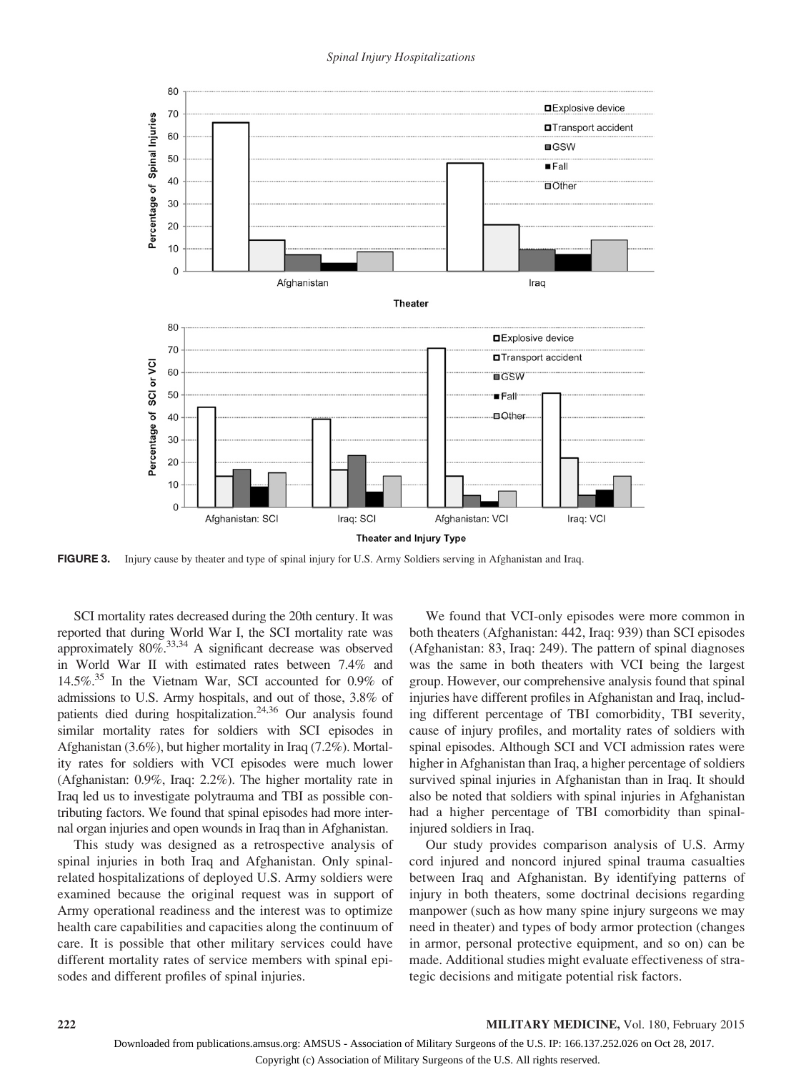

FIGURE 3. Injury cause by theater and type of spinal injury for U.S. Army Soldiers serving in Afghanistan and Iraq.

SCI mortality rates decreased during the 20th century. It was reported that during World War I, the SCI mortality rate was approximately 80%.33,34 A significant decrease was observed in World War II with estimated rates between 7.4% and 14.5%.<sup>35</sup> In the Vietnam War, SCI accounted for  $0.9\%$  of admissions to U.S. Army hospitals, and out of those, 3.8% of patients died during hospitalization.<sup>24,36</sup> Our analysis found similar mortality rates for soldiers with SCI episodes in Afghanistan (3.6%), but higher mortality in Iraq (7.2%). Mortality rates for soldiers with VCI episodes were much lower (Afghanistan: 0.9%, Iraq: 2.2%). The higher mortality rate in Iraq led us to investigate polytrauma and TBI as possible contributing factors. We found that spinal episodes had more internal organ injuries and open wounds in Iraq than in Afghanistan.

This study was designed as a retrospective analysis of spinal injuries in both Iraq and Afghanistan. Only spinalrelated hospitalizations of deployed U.S. Army soldiers were examined because the original request was in support of Army operational readiness and the interest was to optimize health care capabilities and capacities along the continuum of care. It is possible that other military services could have different mortality rates of service members with spinal episodes and different profiles of spinal injuries.

We found that VCI-only episodes were more common in both theaters (Afghanistan: 442, Iraq: 939) than SCI episodes (Afghanistan: 83, Iraq: 249). The pattern of spinal diagnoses was the same in both theaters with VCI being the largest group. However, our comprehensive analysis found that spinal injuries have different profiles in Afghanistan and Iraq, including different percentage of TBI comorbidity, TBI severity, cause of injury profiles, and mortality rates of soldiers with spinal episodes. Although SCI and VCI admission rates were higher in Afghanistan than Iraq, a higher percentage of soldiers survived spinal injuries in Afghanistan than in Iraq. It should also be noted that soldiers with spinal injuries in Afghanistan had a higher percentage of TBI comorbidity than spinalinjured soldiers in Iraq.

Our study provides comparison analysis of U.S. Army cord injured and noncord injured spinal trauma casualties between Iraq and Afghanistan. By identifying patterns of injury in both theaters, some doctrinal decisions regarding manpower (such as how many spine injury surgeons we may need in theater) and types of body armor protection (changes in armor, personal protective equipment, and so on) can be made. Additional studies might evaluate effectiveness of strategic decisions and mitigate potential risk factors.

### 222 MILITARY MEDICINE, Vol. 180, February 2015

Downloaded from publications.amsus.org: AMSUS - Association of Military Surgeons of the U.S. IP: 166.137.252.026 on Oct 28, 2017. Copyright (c) Association of Military Surgeons of the U.S. All rights reserved.